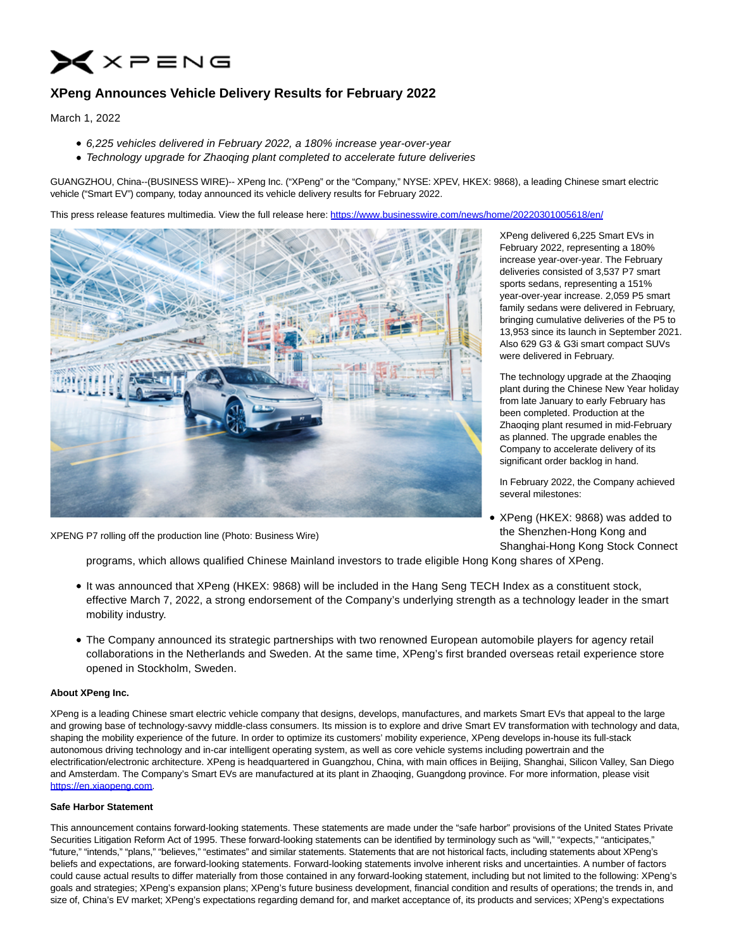

## **XPeng Announces Vehicle Delivery Results for February 2022**

March 1, 2022

- 6,225 vehicles delivered in February 2022, a 180% increase year-over-year
- Technology upgrade for Zhaoging plant completed to accelerate future deliveries

GUANGZHOU, China--(BUSINESS WIRE)-- XPeng Inc. ("XPeng" or the "Company," NYSE: XPEV, HKEX: 9868), a leading Chinese smart electric vehicle ("Smart EV") company, today announced its vehicle delivery results for February 2022.

This press release features multimedia. View the full release here:<https://www.businesswire.com/news/home/20220301005618/en/>



XPENG P7 rolling off the production line (Photo: Business Wire)

XPeng delivered 6,225 Smart EVs in February 2022, representing a 180% increase year-over-year. The February deliveries consisted of 3,537 P7 smart sports sedans, representing a 151% year-over-year increase. 2,059 P5 smart family sedans were delivered in February, bringing cumulative deliveries of the P5 to 13,953 since its launch in September 2021. Also 629 G3 & G3i smart compact SUVs were delivered in February.

The technology upgrade at the Zhaoqing plant during the Chinese New Year holiday from late January to early February has been completed. Production at the Zhaoqing plant resumed in mid-February as planned. The upgrade enables the Company to accelerate delivery of its significant order backlog in hand.

In February 2022, the Company achieved several milestones:

XPeng (HKEX: 9868) was added to the Shenzhen-Hong Kong and Shanghai-Hong Kong Stock Connect

programs, which allows qualified Chinese Mainland investors to trade eligible Hong Kong shares of XPeng.

- It was announced that XPeng (HKEX: 9868) will be included in the Hang Seng TECH Index as a constituent stock, effective March 7, 2022, a strong endorsement of the Company's underlying strength as a technology leader in the smart mobility industry.
- The Company announced its strategic partnerships with two renowned European automobile players for agency retail collaborations in the Netherlands and Sweden. At the same time, XPeng's first branded overseas retail experience store opened in Stockholm, Sweden.

## **About XPeng Inc.**

XPeng is a leading Chinese smart electric vehicle company that designs, develops, manufactures, and markets Smart EVs that appeal to the large and growing base of technology-savvy middle-class consumers. Its mission is to explore and drive Smart EV transformation with technology and data, shaping the mobility experience of the future. In order to optimize its customers' mobility experience, XPeng develops in-house its full-stack autonomous driving technology and in-car intelligent operating system, as well as core vehicle systems including powertrain and the electrification/electronic architecture. XPeng is headquartered in Guangzhou, China, with main offices in Beijing, Shanghai, Silicon Valley, San Diego and Amsterdam. The Company's Smart EVs are manufactured at its plant in Zhaoqing, Guangdong province. For more information, please visit [https://en.xiaopeng.com.](https://cts.businesswire.com/ct/CT?id=smartlink&url=https%3A%2F%2Fen.xiaopeng.com&esheet=52587383&newsitemid=20220301005618&lan=en-US&anchor=https%3A%2F%2Fen.xiaopeng.com&index=1&md5=31b654bf3ee1f37309d9a02a5042ad79)

## **Safe Harbor Statement**

This announcement contains forward-looking statements. These statements are made under the "safe harbor" provisions of the United States Private Securities Litigation Reform Act of 1995. These forward-looking statements can be identified by terminology such as "will," "expects," "anticipates," "future," "intends," "plans," "believes," "estimates" and similar statements. Statements that are not historical facts, including statements about XPeng's beliefs and expectations, are forward-looking statements. Forward-looking statements involve inherent risks and uncertainties. A number of factors could cause actual results to differ materially from those contained in any forward-looking statement, including but not limited to the following: XPeng's goals and strategies; XPeng's expansion plans; XPeng's future business development, financial condition and results of operations; the trends in, and size of, China's EV market; XPeng's expectations regarding demand for, and market acceptance of, its products and services; XPeng's expectations